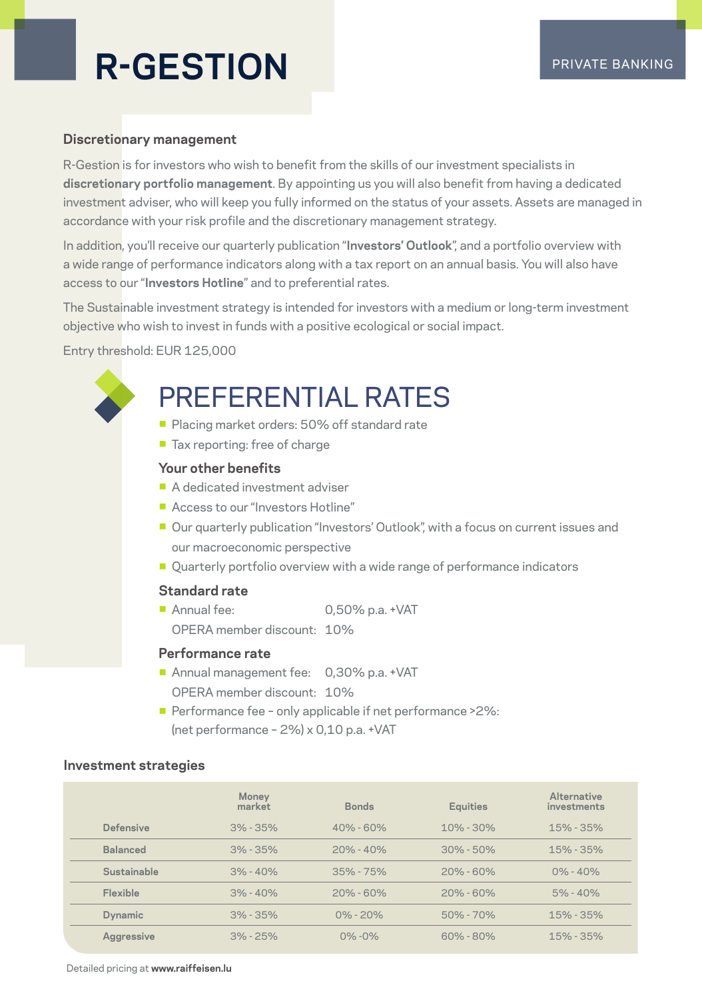## **R-GESTION** PRIVATE BANKING

#### **Discretionary management**

R-Gestion is for investors who wish to benefit from the skills of our investment specialists in **discretionary portfolio management**. By appointing us you will also benefit from having a dedicated investment adviser, who will keep you fully informed on the status of your assets. Assets are managed in accordance with your risk profile and the discretionary management strategy.

In addition, you'll receive our quarterly publication "**Investors' Outlook**", and a portfolio overview with a wide range of performance indicators along with a tax report on an annual basis. You will also have access to our "**Investors Hotline**" and to preferential rates.

The Sustainable investment strategy is intended for investors with a medium or long-term investment objective who wish to invest in funds with a positive ecological or social impact.

Entry threshold: EUR 125,000

### PREFERENTIAL RATES

- **Placing market orders: 50% off standard rate**
- Tax reporting: free of charge

#### **Your other benefits**

- A dedicated investment adviser
- Access to our "Investors Hotline"
- Our quarterly publication "Investors' Outlook", with a focus on current issues and our macroeconomic perspective
- Quarterly portfolio overview with a wide range of performance indicators

#### **Standard rate**

- Annual fee: 0,50% p.a. +VAT
	- OPERA member discount: 10%

#### **Performance rate**

- **Annual management fee: 0,30% p.a. +VAT** OPERA member discount: 10%
- **Performance fee only applicable if net performance > 2%:** (net performance – 2%) x 0,10 p.a. +VAT

#### **Investment strategies**

|                 | Money<br>market | <b>Bonds</b>  | <b>Equities</b> | Alternative<br>investments |
|-----------------|-----------------|---------------|-----------------|----------------------------|
| Defensive       | $3\% - 35\%$    | $40\% - 60\%$ | $10\% - 30\%$   | $15\% - 35\%$              |
| <b>Balanced</b> | $3\% - 35\%$    | $20% - 40%$   | $30\% - 50\%$   | $15\% - 35\%$              |
| Sustainable     | $3\% - 40\%$    | $35\% - 75\%$ | $20\% - 60\%$   | $0\% - 40\%$               |
| Flexible        | $3\% - 40\%$    | $20\% - 60\%$ | $20\% - 60\%$   | $5\% - 40\%$               |
| <b>Dynamic</b>  | $3\% - 35\%$    | $0\% - 20\%$  | $50\% - 70\%$   | $15\% - 35\%$              |
| Aggressive      | $3\% - 25\%$    | $0\% - 0\%$   | $60\% - 80\%$   | $15\% - 35\%$              |